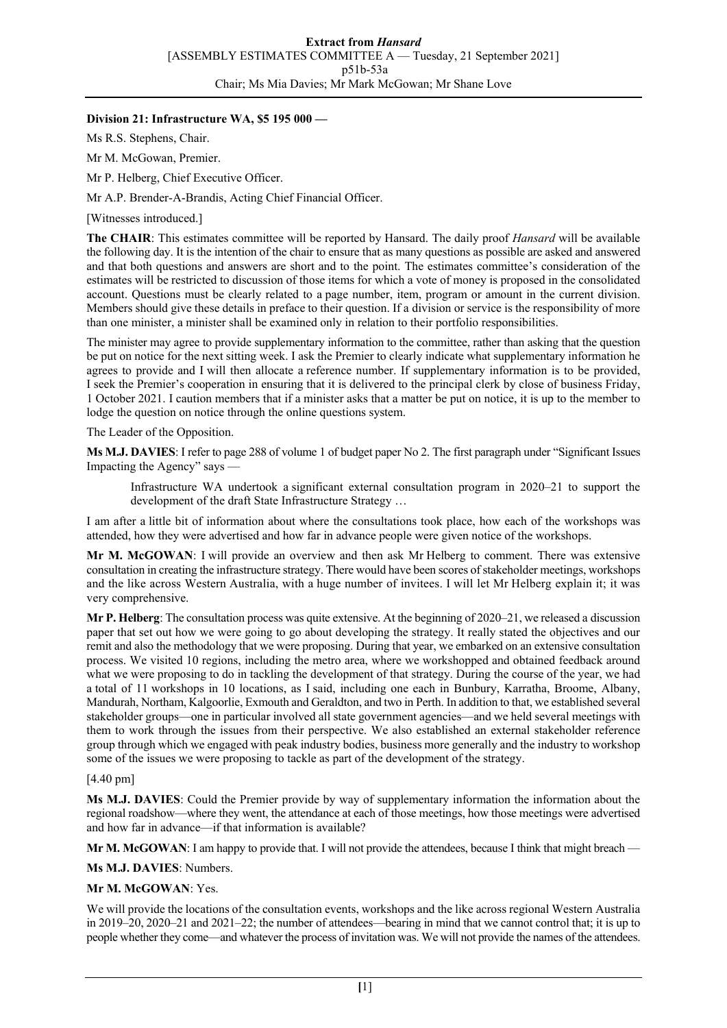# **Division 21: Infrastructure WA, \$5 195 000 —**

Ms R.S. Stephens, Chair.

Mr M. McGowan, Premier.

Mr P. Helberg, Chief Executive Officer.

Mr A.P. Brender-A-Brandis, Acting Chief Financial Officer.

[Witnesses introduced.]

**The CHAIR**: This estimates committee will be reported by Hansard. The daily proof *Hansard* will be available the following day. It is the intention of the chair to ensure that as many questions as possible are asked and answered and that both questions and answers are short and to the point. The estimates committee's consideration of the estimates will be restricted to discussion of those items for which a vote of money is proposed in the consolidated account. Questions must be clearly related to a page number, item, program or amount in the current division. Members should give these details in preface to their question. If a division or service is the responsibility of more than one minister, a minister shall be examined only in relation to their portfolio responsibilities.

The minister may agree to provide supplementary information to the committee, rather than asking that the question be put on notice for the next sitting week. I ask the Premier to clearly indicate what supplementary information he agrees to provide and I will then allocate a reference number. If supplementary information is to be provided, I seek the Premier's cooperation in ensuring that it is delivered to the principal clerk by close of business Friday, 1 October 2021. I caution members that if a minister asks that a matter be put on notice, it is up to the member to lodge the question on notice through the online questions system.

The Leader of the Opposition.

**Ms M.J. DAVIES**: I refer to page 288 of volume 1 of budget paper No 2. The first paragraph under "Significant Issues Impacting the Agency" says —

Infrastructure WA undertook a significant external consultation program in 2020–21 to support the development of the draft State Infrastructure Strategy …

I am after a little bit of information about where the consultations took place, how each of the workshops was attended, how they were advertised and how far in advance people were given notice of the workshops.

**Mr M. McGOWAN**: I will provide an overview and then ask Mr Helberg to comment. There was extensive consultation in creating the infrastructure strategy. There would have been scores of stakeholder meetings, workshops and the like across Western Australia, with a huge number of invitees. I will let Mr Helberg explain it; it was very comprehensive.

**Mr P. Helberg**: The consultation process was quite extensive. At the beginning of 2020–21, we released a discussion paper that set out how we were going to go about developing the strategy. It really stated the objectives and our remit and also the methodology that we were proposing. During that year, we embarked on an extensive consultation process. We visited 10 regions, including the metro area, where we workshopped and obtained feedback around what we were proposing to do in tackling the development of that strategy. During the course of the year, we had a total of 11 workshops in 10 locations, as I said, including one each in Bunbury, Karratha, Broome, Albany, Mandurah, Northam, Kalgoorlie, Exmouth and Geraldton, and two in Perth. In addition to that, we established several stakeholder groups—one in particular involved all state government agencies—and we held several meetings with them to work through the issues from their perspective. We also established an external stakeholder reference group through which we engaged with peak industry bodies, business more generally and the industry to workshop some of the issues we were proposing to tackle as part of the development of the strategy.

### [4.40 pm]

**Ms M.J. DAVIES**: Could the Premier provide by way of supplementary information the information about the regional roadshow—where they went, the attendance at each of those meetings, how those meetings were advertised and how far in advance—if that information is available?

**Mr M. McGOWAN**: I am happy to provide that. I will not provide the attendees, because I think that might breach —

**Ms M.J. DAVIES**: Numbers.

### **Mr M. McGOWAN**: Yes.

We will provide the locations of the consultation events, workshops and the like across regional Western Australia in 2019–20, 2020–21 and 2021–22; the number of attendees—bearing in mind that we cannot control that; it is up to people whether they come—and whatever the process of invitation was. We will not provide the names of the attendees.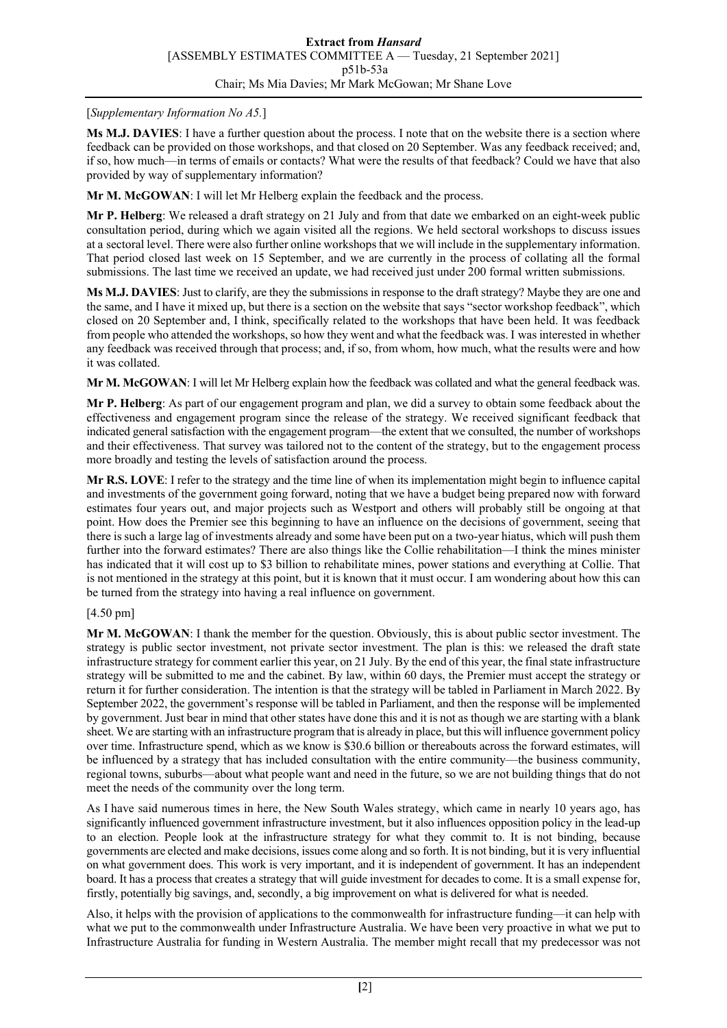### [*Supplementary Information No A5.*]

**Ms M.J. DAVIES**: I have a further question about the process. I note that on the website there is a section where feedback can be provided on those workshops, and that closed on 20 September. Was any feedback received; and, if so, how much—in terms of emails or contacts? What were the results of that feedback? Could we have that also provided by way of supplementary information?

**Mr M. McGOWAN**: I will let Mr Helberg explain the feedback and the process.

**Mr P. Helberg**: We released a draft strategy on 21 July and from that date we embarked on an eight-week public consultation period, during which we again visited all the regions. We held sectoral workshops to discuss issues at a sectoral level. There were also further online workshops that we will include in the supplementary information. That period closed last week on 15 September, and we are currently in the process of collating all the formal submissions. The last time we received an update, we had received just under 200 formal written submissions.

**Ms M.J. DAVIES**: Just to clarify, are they the submissions in response to the draft strategy? Maybe they are one and the same, and I have it mixed up, but there is a section on the website that says "sector workshop feedback", which closed on 20 September and, I think, specifically related to the workshops that have been held. It was feedback from people who attended the workshops, so how they went and what the feedback was. I was interested in whether any feedback was received through that process; and, if so, from whom, how much, what the results were and how it was collated.

**Mr M. McGOWAN**: I will let Mr Helberg explain how the feedback was collated and what the general feedback was.

**Mr P. Helberg**: As part of our engagement program and plan, we did a survey to obtain some feedback about the effectiveness and engagement program since the release of the strategy. We received significant feedback that indicated general satisfaction with the engagement program—the extent that we consulted, the number of workshops and their effectiveness. That survey was tailored not to the content of the strategy, but to the engagement process more broadly and testing the levels of satisfaction around the process.

**Mr R.S. LOVE**: I refer to the strategy and the time line of when its implementation might begin to influence capital and investments of the government going forward, noting that we have a budget being prepared now with forward estimates four years out, and major projects such as Westport and others will probably still be ongoing at that point. How does the Premier see this beginning to have an influence on the decisions of government, seeing that there is such a large lag of investments already and some have been put on a two-year hiatus, which will push them further into the forward estimates? There are also things like the Collie rehabilitation—I think the mines minister has indicated that it will cost up to \$3 billion to rehabilitate mines, power stations and everything at Collie. That is not mentioned in the strategy at this point, but it is known that it must occur. I am wondering about how this can be turned from the strategy into having a real influence on government.

# [4.50 pm]

**Mr M. McGOWAN**: I thank the member for the question. Obviously, this is about public sector investment. The strategy is public sector investment, not private sector investment. The plan is this: we released the draft state infrastructure strategy for comment earlier this year, on 21 July. By the end of this year, the final state infrastructure strategy will be submitted to me and the cabinet. By law, within 60 days, the Premier must accept the strategy or return it for further consideration. The intention is that the strategy will be tabled in Parliament in March 2022. By September 2022, the government's response will be tabled in Parliament, and then the response will be implemented by government. Just bear in mind that other states have done this and it is not as though we are starting with a blank sheet. We are starting with an infrastructure program that is already in place, but this will influence government policy over time. Infrastructure spend, which as we know is \$30.6 billion or thereabouts across the forward estimates, will be influenced by a strategy that has included consultation with the entire community—the business community, regional towns, suburbs—about what people want and need in the future, so we are not building things that do not meet the needs of the community over the long term.

As I have said numerous times in here, the New South Wales strategy, which came in nearly 10 years ago, has significantly influenced government infrastructure investment, but it also influences opposition policy in the lead-up to an election. People look at the infrastructure strategy for what they commit to. It is not binding, because governments are elected and make decisions, issues come along and so forth. It is not binding, but it is very influential on what government does. This work is very important, and it is independent of government. It has an independent board. It has a process that creates a strategy that will guide investment for decades to come. It is a small expense for, firstly, potentially big savings, and, secondly, a big improvement on what is delivered for what is needed.

Also, it helps with the provision of applications to the commonwealth for infrastructure funding—it can help with what we put to the commonwealth under Infrastructure Australia. We have been very proactive in what we put to Infrastructure Australia for funding in Western Australia. The member might recall that my predecessor was not